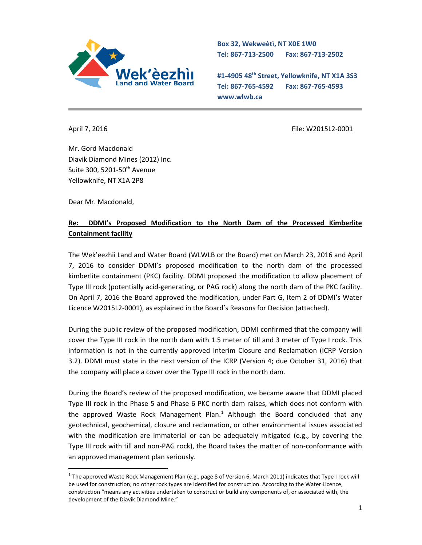

**Box 32, Wekweètì, NT X0E 1W0 Tel: 867-713-2500 Fax: 867-713-2502** 

**#1-4905 48th Street, Yellowknife, NT X1A 3S3 Tel: 867-765-4592 Fax: 867-765-4593 www.wlwb.ca**

April 7, 2016 **File: W2015L2-0001** File: W2015L2-0001

Mr. Gord Macdonald Diavik Diamond Mines (2012) Inc. Suite 300, 5201-50<sup>th</sup> Avenue Yellowknife, NT X1A 2P8

Dear Mr. Macdonald,

 $\ddot{\phantom{a}}$ 

## **Re: DDMI's Proposed Modification to the North Dam of the Processed Kimberlite Containment facility**

The Wek'eezhii Land and Water Board (WLWLB or the Board) met on March 23, 2016 and April 7, 2016 to consider DDMI's proposed modification to the north dam of the processed kimberlite containment (PKC) facility. DDMI proposed the modification to allow placement of Type III rock (potentially acid-generating, or PAG rock) along the north dam of the PKC facility. On April 7, 2016 the Board approved the modification, under Part G, Item 2 of DDMI's Water Licence W2015L2-0001), as explained in the Board's Reasons for Decision (attached).

During the public review of the proposed modification, DDMI confirmed that the company will cover the Type III rock in the north dam with 1.5 meter of till and 3 meter of Type I rock. This information is not in the currently approved Interim Closure and Reclamation (ICRP Version 3.2). DDMI must state in the next version of the ICRP (Version 4; due October 31, 2016) that the company will place a cover over the Type III rock in the north dam.

During the Board's review of the proposed modification, we became aware that DDMI placed Type III rock in the Phase 5 and Phase 6 PKC north dam raises, which does not conform with the approved Waste Rock Management Plan.<sup>1</sup> Although the Board concluded that any geotechnical, geochemical, closure and reclamation, or other environmental issues associated with the modification are immaterial or can be adequately mitigated (e.g., by covering the Type III rock with till and non-PAG rock), the Board takes the matter of non-conformance with an approved management plan seriously.

<sup>&</sup>lt;sup>1</sup> The approved Waste Rock Management Plan (e.g., page 8 of Version 6, March 2011) indicates that Type I rock will be used for construction; no other rock types are identified for construction. According to the Water Licence, construction "means any activities undertaken to construct or build any components of, or associated with, the development of the Diavik Diamond Mine."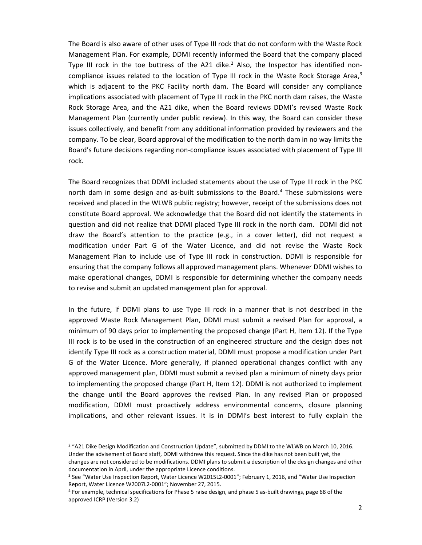The Board is also aware of other uses of Type III rock that do not conform with the Waste Rock Management Plan. For example, DDMI recently informed the Board that the company placed Type III rock in the toe buttress of the A21 dike.<sup>2</sup> Also, the Inspector has identified noncompliance issues related to the location of Type III rock in the Waste Rock Storage Area,<sup>3</sup> which is adjacent to the PKC Facility north dam. The Board will consider any compliance implications associated with placement of Type III rock in the PKC north dam raises, the Waste Rock Storage Area, and the A21 dike, when the Board reviews DDMI's revised Waste Rock Management Plan (currently under public review). In this way, the Board can consider these issues collectively, and benefit from any additional information provided by reviewers and the company. To be clear, Board approval of the modification to the north dam in no way limits the Board's future decisions regarding non-compliance issues associated with placement of Type III rock.

The Board recognizes that DDMI included statements about the use of Type III rock in the PKC north dam in some design and as-built submissions to the Board.<sup>4</sup> These submissions were received and placed in the WLWB public registry; however, receipt of the submissions does not constitute Board approval. We acknowledge that the Board did not identify the statements in question and did not realize that DDMI placed Type III rock in the north dam. DDMI did not draw the Board's attention to the practice (e.g., in a cover letter), did not request a modification under Part G of the Water Licence, and did not revise the Waste Rock Management Plan to include use of Type III rock in construction. DDMI is responsible for ensuring that the company follows all approved management plans. Whenever DDMI wishes to make operational changes, DDMI is responsible for determining whether the company needs to revise and submit an updated management plan for approval.

In the future, if DDMI plans to use Type III rock in a manner that is not described in the approved Waste Rock Management Plan, DDMI must submit a revised Plan for approval, a minimum of 90 days prior to implementing the proposed change (Part H, Item 12). If the Type III rock is to be used in the construction of an engineered structure and the design does not identify Type III rock as a construction material, DDMI must propose a modification under Part G of the Water Licence. More generally, if planned operational changes conflict with any approved management plan, DDMI must submit a revised plan a minimum of ninety days prior to implementing the proposed change (Part H, Item 12). DDMI is not authorized to implement the change until the Board approves the revised Plan. In any revised Plan or proposed modification, DDMI must proactively address environmental concerns, closure planning implications, and other relevant issues. It is in DDMI's best interest to fully explain the

<sup>&</sup>lt;sup>2</sup> "A21 Dike Design Modification and Construction Update", submitted by DDMI to the WLWB on March 10, 2016. Under the advisement of Board staff, DDMI withdrew this request. Since the dike has not been built yet, the changes are not considered to be modifications. DDMI plans to submit a description of the design changes and other documentation in April, under the appropriate Licence conditions.

<sup>&</sup>lt;sup>3</sup> See "Water Use Inspection Report, Water Licence W2015L2-0001"; February 1, 2016, and "Water Use Inspection Report, Water Licence W2007L2-0001"; November 27, 2015.

<sup>4</sup> For example, technical specifications for Phase 5 raise design, and phase 5 as-built drawings, page 68 of the approved ICRP (Version 3.2)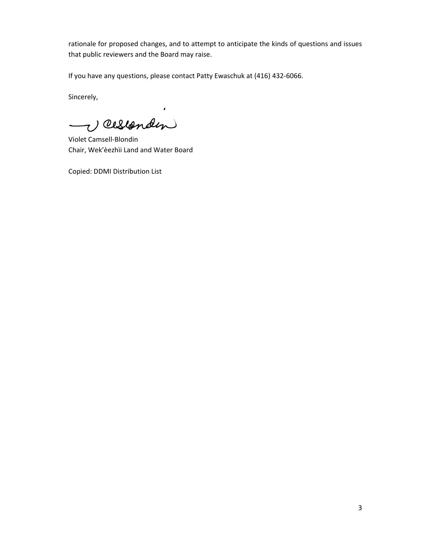rationale for proposed changes, and to attempt to anticipate the kinds of questions and issues that public reviewers and the Board may raise.

If you have any questions, please contact Patty Ewaschuk at (416) 432-6066.

 $\pmb{\epsilon}$ 

Sincerely,

1) Cesionden  $\overline{\phantom{0}}$ 

Violet Camsell-Blondin Chair, Wek'èezhìi Land and Water Board

Copied: DDMI Distribution List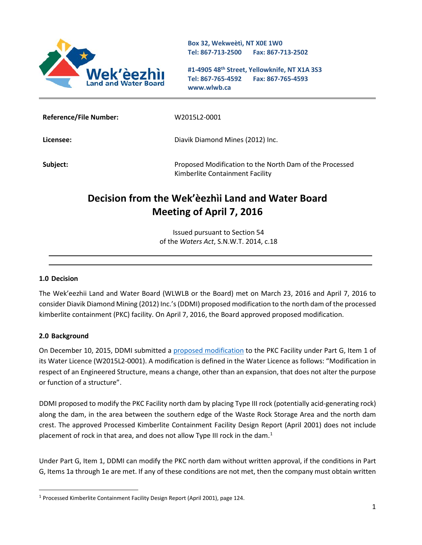

**Box 32, Wekweètì, NT X0E 1W0 Tel: 867-713-2500 Fax: 867-713-2502** 

**#1-4905 48th Street, Yellowknife, NT X1A 3S3 Tel: 867-765-4592 Fax: 867-765-4593 www.wlwb.ca**

| <b>Reference/File Number:</b> | W2015L2-0001                                                                               |
|-------------------------------|--------------------------------------------------------------------------------------------|
| Licensee:                     | Diavik Diamond Mines (2012) Inc.                                                           |
| Subject:                      | Proposed Modification to the North Dam of the Processed<br>Kimberlite Containment Facility |

# **Decision from the Wek'èezhìi Land and Water Board Meeting of April 7, 2016**

Issued pursuant to Section 54 of the *Waters Act*, S.N.W.T. 2014, c.18

### **1.0 Decision**

The Wek'eezhii Land and Water Board (WLWLB or the Board) met on March 23, 2016 and April 7, 2016 to consider Diavik Diamond Mining (2012) Inc.'s (DDMI) proposed modification to the north dam of the processed kimberlite containment (PKC) facility. On April 7, 2016, the Board approved proposed modification.

#### **2.0 Background**

l

On December 10, 2015, DDMI submitted a [proposed modification](http://www.mvlwb.ca/Boards/WLWB/Registry/2015/W2015L2-0001/Diavik%20-%20Modification%20-%20Processed%20Kimberlite%20Containment%20Facility%20-%20North%20Dam%20-%20Dec%209_15.pdf) to the PKC Facility under Part G, Item 1 of its Water Licence (W2015L2-0001). A modification is defined in the Water Licence as follows: "Modification in respect of an Engineered Structure, means a change, other than an expansion, that does not alter the purpose or function of a structure".

DDMI proposed to modify the PKC Facility north dam by placing Type III rock (potentially acid-generating rock) along the dam, in the area between the southern edge of the Waste Rock Storage Area and the north dam crest. The approved Processed Kimberlite Containment Facility Design Report (April 2001) does not include placement of rock in that area, and does not allow Type III rock in the dam.<sup>[1](#page-3-0)</sup>

Under Part G, Item 1, DDMI can modify the PKC north dam without written approval, if the conditions in Part G, Items 1a through 1e are met. If any of these conditions are not met, then the company must obtain written

<span id="page-3-0"></span> $1$  Processed Kimberlite Containment Facility Design Report (April 2001), page 124.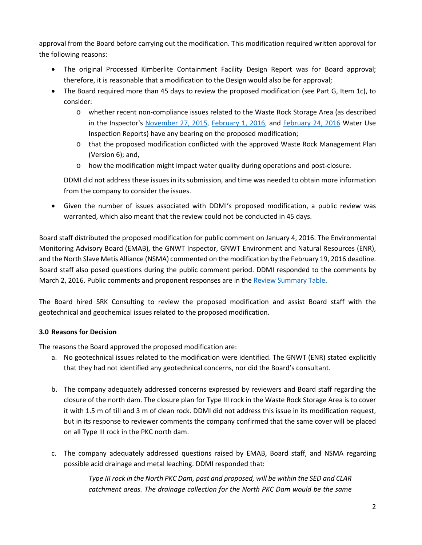approval from the Board before carrying out the modification. This modification required written approval for the following reasons:

- The original Processed Kimberlite Containment Facility Design Report was for Board approval; therefore, it is reasonable that a modification to the Design would also be for approval;
- The Board required more than 45 days to review the proposed modification (see Part G, Item 1c), to consider:
	- o whether recent non-compliance issues related to the Waste Rock Storage Area (as described in the Inspector's [November 27, 2015,](http://www.mvlwb.ca/Boards/WLWB/Registry/2015/W2015L2-0001/Diavik%20-%20Water%20Licence%20Inspection%20Report%20-%20October%2026%202015%20-%20Nov%2027_15.pdf) [February 1, 2016,](http://www.mvlwb.ca/Boards/WLWB/Registry/2015/W2015L2-0001/Diavik%20-%20Water%20Licence%20Inspection%20Report%20-%20January%2018%202016%20-%20Feb%201_16.pdf) and [February 24, 2016](http://www.mvlwb.ca/Boards/WLWB/Registry/2015/W2015L2-0001/Diavik%20-%20Water%20Licence%20Inspection%20Report%20-%20Feb%2024%202016%20-%20Mar%2011_16.pdf) Water Use Inspection Reports) have any bearing on the proposed modification;
	- o that the proposed modification conflicted with the approved Waste Rock Management Plan (Version 6); and,
	- o how the modification might impact water quality during operations and post-closure.

DDMI did not address these issues in its submission, and time was needed to obtain more information from the company to consider the issues.

• Given the number of issues associated with DDMI's proposed modification, a public review was warranted, which also meant that the review could not be conducted in 45 days.

Board staff distributed the proposed modification for public comment on January 4, 2016. The Environmental Monitoring Advisory Board (EMAB), the GNWT Inspector, GNWT Environment and Natural Resources (ENR), and the North Slave Metis Alliance (NSMA) commented on the modification by the February 19, 2016 deadline. Board staff also posed questions during the public comment period. DDMI responded to the comments by March 2, 2016. Public comments and proponent responses are in the [Review Summary Table.](http://lwbors.yk.com/LWB_IMS/ReviewCommentSub/ViewCommentsPrintFriendly.aspx?id=10797)

The Board hired SRK Consulting to review the proposed modification and assist Board staff with the geotechnical and geochemical issues related to the proposed modification.

### **3.0 Reasons for Decision**

The reasons the Board approved the proposed modification are:

- a. No geotechnical issues related to the modification were identified. The GNWT (ENR) stated explicitly that they had not identified any geotechnical concerns, nor did the Board's consultant.
- b. The company adequately addressed concerns expressed by reviewers and Board staff regarding the closure of the north dam. The closure plan for Type III rock in the Waste Rock Storage Area is to cover it with 1.5 m of till and 3 m of clean rock. DDMI did not address this issue in its modification request, but in its response to reviewer comments the company confirmed that the same cover will be placed on all Type III rock in the PKC north dam.
- c. The company adequately addressed questions raised by EMAB, Board staff, and NSMA regarding possible acid drainage and metal leaching. DDMI responded that:

*Type III rock in the North PKC Dam, past and proposed, will be within the SED and CLAR catchment areas. The drainage collection for the North PKC Dam would be the same*